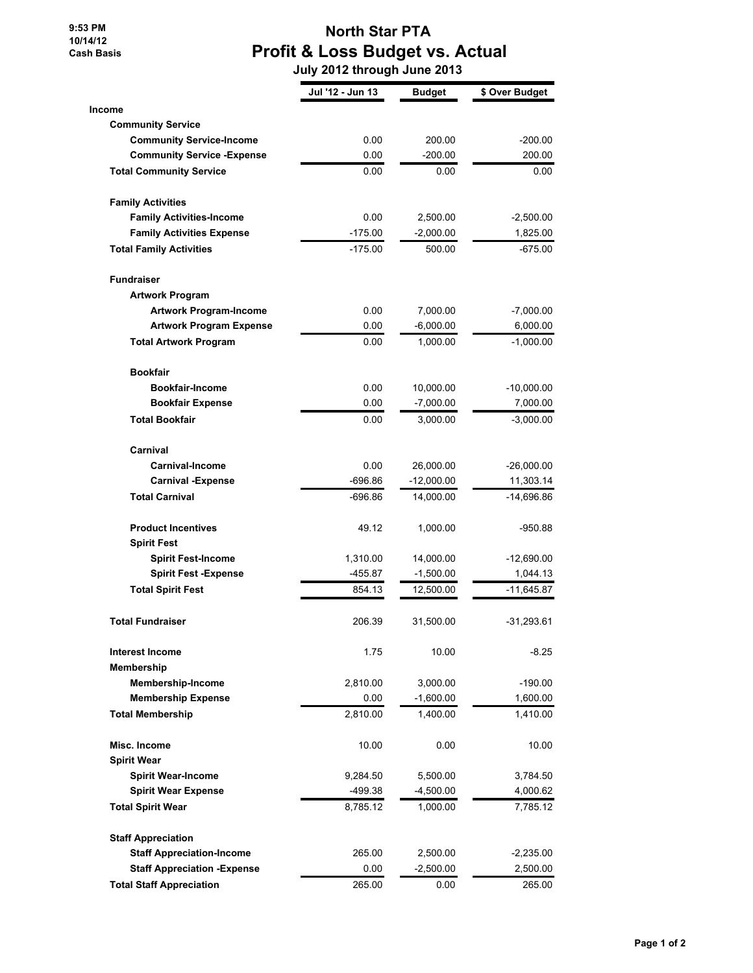**9:53 PM 10/14/12 Cash Basis**

## **North Star PTA Profit & Loss Budget vs. Actual**

 **July 2012 through June 2013**

|                                     | Jul '12 - Jun 13 | <b>Budget</b> | \$ Over Budget |
|-------------------------------------|------------------|---------------|----------------|
| Income                              |                  |               |                |
| <b>Community Service</b>            |                  |               |                |
| <b>Community Service-Income</b>     | 0.00             | 200.00        | $-200.00$      |
| <b>Community Service - Expense</b>  | 0.00             | $-200.00$     | 200.00         |
| <b>Total Community Service</b>      | 0.00             | 0.00          | 0.00           |
| <b>Family Activities</b>            |                  |               |                |
| <b>Family Activities-Income</b>     | 0.00             | 2,500.00      | -2,500.00      |
| <b>Family Activities Expense</b>    | $-175.00$        | $-2,000.00$   | 1,825.00       |
| <b>Total Family Activities</b>      | $-175.00$        | 500.00        | -675.00        |
| <b>Fundraiser</b>                   |                  |               |                |
| <b>Artwork Program</b>              |                  |               |                |
| <b>Artwork Program-Income</b>       | 0.00             | 7,000.00      | -7,000.00      |
| <b>Artwork Program Expense</b>      | 0.00             | $-6,000.00$   | 6,000.00       |
| <b>Total Artwork Program</b>        | 0.00             | 1,000.00      | -1,000.00      |
| <b>Bookfair</b>                     |                  |               |                |
| <b>Bookfair-Income</b>              | 0.00             | 10,000.00     | $-10,000.00$   |
| <b>Bookfair Expense</b>             | 0.00             | $-7,000.00$   | 7,000.00       |
| <b>Total Bookfair</b>               | 0.00             | 3,000.00      | $-3,000.00$    |
| Carnival                            |                  |               |                |
| Carnival-Income                     | 0.00             | 26,000.00     | $-26,000.00$   |
| <b>Carnival -Expense</b>            | $-696.86$        | $-12,000.00$  | 11,303.14      |
| <b>Total Carnival</b>               | $-696.86$        | 14,000.00     | -14,696.86     |
| <b>Product Incentives</b>           | 49.12            | 1,000.00      | $-950.88$      |
| <b>Spirit Fest</b>                  |                  |               |                |
| <b>Spirit Fest-Income</b>           | 1,310.00         | 14,000.00     | $-12,690.00$   |
| <b>Spirit Fest -Expense</b>         | $-455.87$        | $-1,500.00$   | 1,044.13       |
| <b>Total Spirit Fest</b>            | 854.13           | 12,500.00     | -11,645.87     |
| <b>Total Fundraiser</b>             | 206.39           | 31,500.00     | -31,293.61     |
| <b>Interest Income</b>              | 1.75             | 10.00         | $-8.25$        |
| <b>Membership</b>                   |                  |               |                |
| <b>Membership-Income</b>            | 2,810.00         | 3,000.00      | $-190.00$      |
| <b>Membership Expense</b>           | 0.00             | $-1,600.00$   | 1,600.00       |
| <b>Total Membership</b>             | 2,810.00         | 1,400.00      | 1,410.00       |
| Misc. Income                        | 10.00            | 0.00          | 10.00          |
| <b>Spirit Wear</b>                  |                  |               |                |
| <b>Spirit Wear-Income</b>           | 9,284.50         | 5,500.00      | 3,784.50       |
| <b>Spirit Wear Expense</b>          | -499.38          | $-4,500.00$   | 4,000.62       |
| <b>Total Spirit Wear</b>            | 8,785.12         | 1,000.00      | 7,785.12       |
| <b>Staff Appreciation</b>           |                  |               |                |
| <b>Staff Appreciation-Income</b>    | 265.00           | 2,500.00      | $-2,235.00$    |
| <b>Staff Appreciation - Expense</b> | 0.00             | $-2,500.00$   | 2,500.00       |
| <b>Total Staff Appreciation</b>     | 265.00           | 0.00          | 265.00         |